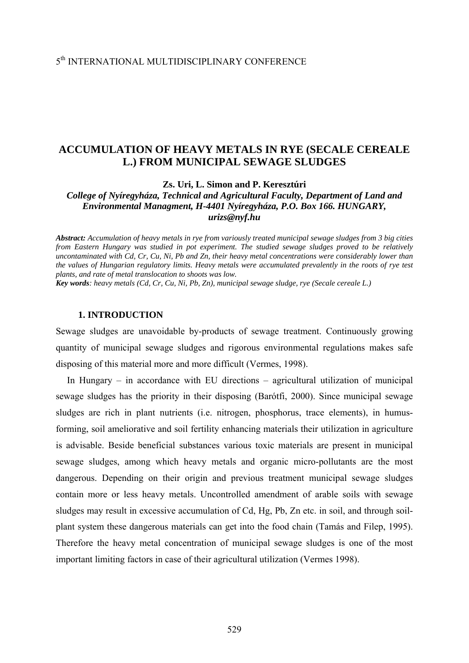# **ACCUMULATION OF HEAVY METALS IN RYE (SECALE CEREALE L.) FROM MUNICIPAL SEWAGE SLUDGES**

**Zs. Uri, L. Simon and P. Keresztúri** 

*College of Nyíregyháza, Technical and Agricultural Faculty, Department of Land and Environmental Managment, H-4401 Nyíregyháza, P.O. Box 166. HUNGARY, [urizs@nyf.hu](mailto:urizs@nyf.hu)*

*Abstract: Accumulation of heavy metals in rye from variously treated municipal sewage sludges from 3 big cities from Eastern Hungary was studied in pot experiment. The studied sewage sludges proved to be relatively uncontaminated with Cd, Cr, Cu, Ni, Pb and Zn, their heavy metal concentrations were considerably lower than the values of Hungarian regulatory limits. Heavy metals were accumulated prevalently in the roots of rye test plants, and rate of metal translocation to shoots was low.* 

*Key words: heavy metals (Cd, Cr, Cu, Ni, Pb, Zn), municipal sewage sludge, rye (Secale cereale L.)* 

# **1. INTRODUCTION**

Sewage sludges are unavoidable by-products of sewage treatment. Continuously growing quantity of municipal sewage sludges and rigorous environmental regulations makes safe disposing of this material more and more difficult (Vermes, 1998).

In Hungary – in accordance with EU directions – agricultural utilization of municipal sewage sludges has the priority in their disposing (Barótfi, 2000). Since municipal sewage sludges are rich in plant nutrients (i.e. nitrogen, phosphorus, trace elements), in humusforming, soil ameliorative and soil fertility enhancing materials their utilization in agriculture is advisable. Beside beneficial substances various toxic materials are present in municipal sewage sludges, among which heavy metals and organic micro-pollutants are the most dangerous. Depending on their origin and previous treatment municipal sewage sludges contain more or less heavy metals. Uncontrolled amendment of arable soils with sewage sludges may result in excessive accumulation of Cd, Hg, Pb, Zn etc. in soil, and through soilplant system these dangerous materials can get into the food chain (Tamás and Filep, 1995). Therefore the heavy metal concentration of municipal sewage sludges is one of the most important limiting factors in case of their agricultural utilization (Vermes 1998).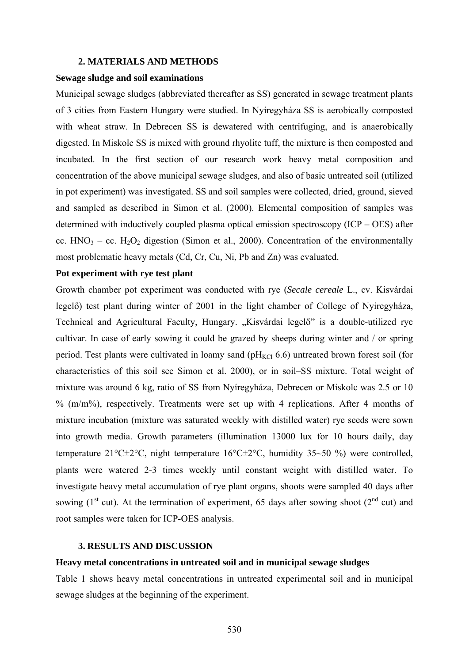# **2. MATERIALS AND METHODS**

# **Sewage sludge and soil examinations**

Municipal sewage sludges (abbreviated thereafter as SS) generated in sewage treatment plants of 3 cities from Eastern Hungary were studied. In Nyíregyháza SS is aerobically composted with wheat straw. In Debrecen SS is dewatered with centrifuging, and is anaerobically digested. In Miskolc SS is mixed with ground rhyolite tuff, the mixture is then composted and incubated. In the first section of our research work heavy metal composition and concentration of the above municipal sewage sludges, and also of basic untreated soil (utilized in pot experiment) was investigated. SS and soil samples were collected, dried, ground, sieved and sampled as described in Simon et al. (2000). Elemental composition of samples was determined with inductively coupled plasma optical emission spectroscopy (ICP – OES) after cc.  $HNO<sub>3</sub> - cc. H<sub>2</sub>O<sub>2</sub>$  digestion (Simon et al., 2000). Concentration of the environmentally most problematic heavy metals (Cd, Cr, Cu, Ni, Pb and Zn) was evaluated.

# **Pot experiment with rye test plant**

Growth chamber pot experiment was conducted with rye (*Secale cereale* L., cv. Kisvárdai legelő) test plant during winter of 2001 in the light chamber of College of Nyíregyháza, Technical and Agricultural Faculty, Hungary. "Kisvárdai legelő" is a double-utilized rye cultivar. In case of early sowing it could be grazed by sheeps during winter and / or spring period. Test plants were cultivated in loamy sand ( $pH_{KCl}$  6.6) untreated brown forest soil (for characteristics of this soil see Simon et al. 2000), or in soil–SS mixture. Total weight of mixture was around 6 kg, ratio of SS from Nyíregyháza, Debrecen or Miskolc was 2.5 or 10  $%$  (m/m%), respectively. Treatments were set up with 4 replications. After 4 months of mixture incubation (mixture was saturated weekly with distilled water) rye seeds were sown into growth media. Growth parameters (illumination 13000 lux for 10 hours daily, day temperature 21°C±2°C, night temperature 16°C±2°C, humidity 35~50 %) were controlled, plants were watered 2-3 times weekly until constant weight with distilled water. To investigate heavy metal accumulation of rye plant organs, shoots were sampled 40 days after sowing ( $1<sup>st</sup>$  cut). At the termination of experiment, 65 days after sowing shoot ( $2<sup>nd</sup>$  cut) and root samples were taken for ICP-OES analysis.

#### **3. RESULTS AND DISCUSSION**

# **Heavy metal concentrations in untreated soil and in municipal sewage sludges**

Table 1 shows heavy metal concentrations in untreated experimental soil and in municipal sewage sludges at the beginning of the experiment.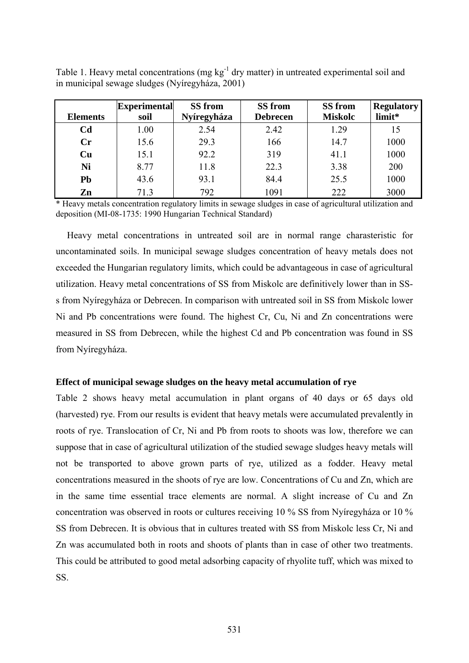|                 | <b>Experimental</b> | <b>SS</b> from | SS from         | SS from        | <b>Regulatory</b> |
|-----------------|---------------------|----------------|-----------------|----------------|-------------------|
| <b>Elements</b> | soil                | Nyíregyháza    | <b>Debrecen</b> | <b>Miskolc</b> | limit*            |
| C <sub>d</sub>  | 1.00                | 2.54           | 2.42            | 1.29           | 15                |
| Cr              | 15.6                | 29.3           | 166             | 14.7           | 1000              |
| Cu              | 15.1                | 92.2           | 319             | 41.1           | 1000              |
| Ni              | 8.77                | 11.8           | 22.3            | 3.38           | 200               |
| <b>Pb</b>       | 43.6                | 93.1           | 84.4            | 25.5           | 1000              |
| Zn              | 71.3                | 792            | 1091            | 222            | 3000              |

Table 1. Heavy metal concentrations (mg  $kg^{-1}$  dry matter) in untreated experimental soil and in municipal sewage sludges (Nyíregyháza, 2001)

\* Heavy metals concentration regulatory limits in sewage sludges in case of agricultural utilization and deposition (MI-08-1735: 1990 Hungarian Technical Standard)

Heavy metal concentrations in untreated soil are in normal range charasteristic for uncontaminated soils. In municipal sewage sludges concentration of heavy metals does not exceeded the Hungarian regulatory limits, which could be advantageous in case of agricultural utilization. Heavy metal concentrations of SS from Miskolc are definitively lower than in SSs from Nyíregyháza or Debrecen. In comparison with untreated soil in SS from Miskolc lower Ni and Pb concentrations were found. The highest Cr, Cu, Ni and Zn concentrations were measured in SS from Debrecen, while the highest Cd and Pb concentration was found in SS from Nyíregyháza.

# **Effect of municipal sewage sludges on the heavy metal accumulation of rye**

Table 2 shows heavy metal accumulation in plant organs of 40 days or 65 days old (harvested) rye. From our results is evident that heavy metals were accumulated prevalently in roots of rye. Translocation of Cr, Ni and Pb from roots to shoots was low, therefore we can suppose that in case of agricultural utilization of the studied sewage sludges heavy metals will not be transported to above grown parts of rye, utilized as a fodder. Heavy metal concentrations measured in the shoots of rye are low. Concentrations of Cu and Zn, which are in the same time essential trace elements are normal. A slight increase of Cu and Zn concentration was observed in roots or cultures receiving 10 % SS from Nyíregyháza or 10 % SS from Debrecen. It is obvious that in cultures treated with SS from Miskolc less Cr, Ni and Zn was accumulated both in roots and shoots of plants than in case of other two treatments. This could be attributed to good metal adsorbing capacity of rhyolite tuff, which was mixed to SS.